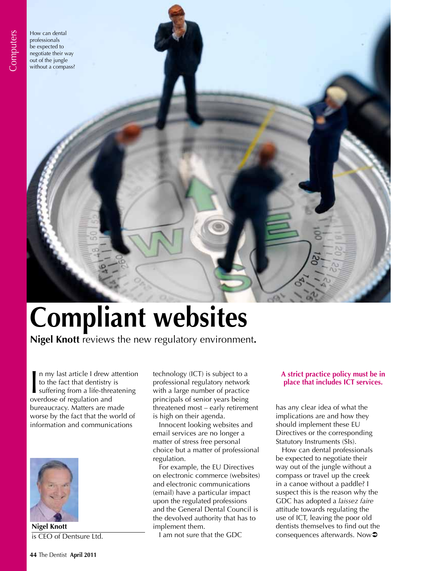How can dental professionals be expected to negotiate their way out of the jungle without a compass?

# **Compliant websites**

**Nigel Knott** reviews the new regulatory environment**.** 

In my last article I drew a<br>to the fact that dentistry<br>suffering from a life-three<br>overdose of regulation and n my last article I drew attention to the fact that dentistry is suffering from a life-threatening bureaucracy. Matters are made worse by the fact that the world of information and communications



**Nigel Knott** is CEO of Dentsure Ltd.

technology (ICT) is subject to a professional regulatory network with a large number of practice principals of senior years being threatened most – early retirement is high on their agenda.

Innocent looking websites and email services are no longer a matter of stress free personal choice but a matter of professional regulation.

For example, the EU Directives on electronic commerce (websites) and electronic communications (email) have a particular impact upon the regulated professions and the General Dental Council is the devolved authority that has to implement them.

I am not sure that the GDC

# **A strict practice policy must be in place that includes ICT services.**

has any clear idea of what the implications are and how they should implement these EU Directives or the corresponding Statutory Instruments (SIs).

How can dental professionals be expected to negotiate their way out of the jungle without a compass or travel up the creek in a canoe without a paddle? I suspect this is the reason why the GDC has adopted a *laissez faire* attitude towards regulating the use of ICT, leaving the poor old dentists themselves to find out the consequences afterwards. Now